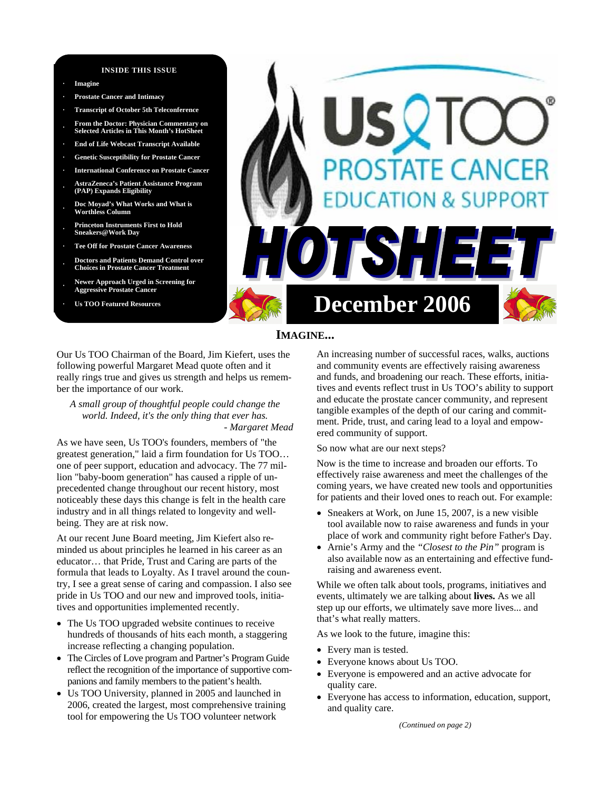#### **INSIDE THIS ISSUE**

**· Imagine** 

- **· Prostate Cancer and Intimacy**
- **· Transcript of October 5th Teleconference · From the Doctor: Physician Commentary on Selected Articles in This Month's HotSheet**
- **· End of Life Webcast Transcript Available**
- **· Genetic Susceptibility for Prostate Cancer**
- **· International Conference on Prostate Cancer**
- **· AstraZeneca's Patient Assistance Program (PAP) Expands Eligibility**
- **· Doc Moyad's What Works and What is Worthless Column**
- **· Princeton Instruments First to Hold Sneakers@Work Day**
- **· Tee Off for Prostate Cancer Awareness**
- **· Doctors and Patients Demand Control over Choices in Prostate Cancer Treatment**
- **· Newer Approach Urged in Screening for Aggressive Prostate Cancer**
- 



### **IMAGINE...**

Our Us TOO Chairman of the Board, Jim Kiefert, uses the following powerful Margaret Mead quote often and it really rings true and gives us strength and helps us remember the importance of our work.

*A small group of thoughtful people could change the world. Indeed, it's the only thing that ever has. - Margaret Mead* 

As we have seen, Us TOO's founders, members of "the greatest generation," laid a firm foundation for Us TOO… one of peer support, education and advocacy. The 77 million "baby-boom generation" has caused a ripple of unprecedented change throughout our recent history, most noticeably these days this change is felt in the health care industry and in all things related to longevity and wellbeing. They are at risk now.

At our recent June Board meeting, Jim Kiefert also reminded us about principles he learned in his career as an educator… that Pride, Trust and Caring are parts of the formula that leads to Loyalty. As I travel around the country, I see a great sense of caring and compassion. I also see pride in Us TOO and our new and improved tools, initiatives and opportunities implemented recently.

- The Us TOO upgraded website continues to receive hundreds of thousands of hits each month, a staggering increase reflecting a changing population.
- The Circles of Love program and Partner's Program Guide reflect the recognition of the importance of supportive companions and family members to the patient's health.
- Us TOO University, planned in 2005 and launched in 2006, created the largest, most comprehensive training tool for empowering the Us TOO volunteer network

An increasing number of successful races, walks, auctions and community events are effectively raising awareness and funds, and broadening our reach. These efforts, initiatives and events reflect trust in Us TOO's ability to support and educate the prostate cancer community, and represent tangible examples of the depth of our caring and commitment. Pride, trust, and caring lead to a loyal and empowered community of support.

So now what are our next steps?

Now is the time to increase and broaden our efforts. To effectively raise awareness and meet the challenges of the coming years, we have created new tools and opportunities for patients and their loved ones to reach out. For example:

- Sneakers at Work, on June 15, 2007, is a new visible tool available now to raise awareness and funds in your place of work and community right before Father's Day.
- Arnie's Army and the *"Closest to the Pin"* program is also available now as an entertaining and effective fundraising and awareness event.

While we often talk about tools, programs, initiatives and events, ultimately we are talking about **lives.** As we all step up our efforts, we ultimately save more lives... and that's what really matters.

As we look to the future, imagine this:

- Every man is tested.
- Everyone knows about Us TOO.
- Everyone is empowered and an active advocate for quality care.
- Everyone has access to information, education, support, and quality care.

*(Continued on page 2)*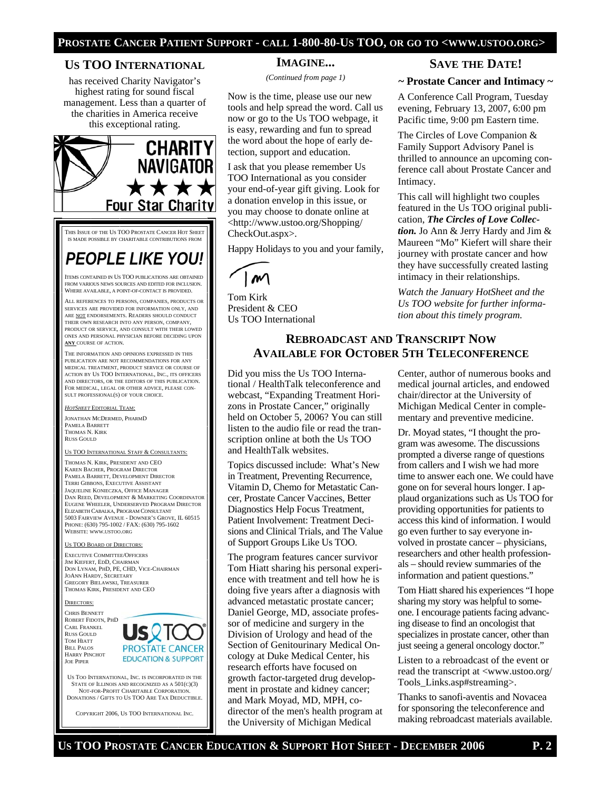#### **PROSTATE CANCER PATIENT SUPPORT - CALL 1-800-80-US TOO, OR GO TO <WWW.USTOO.ORG>**

#### **US TOO INTERNATIONAL**

has received Charity Navigator's highest rating for sound fiscal management. Less than a quarter of the charities in America receive this exceptional rating.



THIS ISSUE OF THE US TOO PROSTATE CANCER HOT SHEET IS MADE POSSIBLE BY CHARITABLE CONTRIBUTIONS FROM

# *PEOPLE LIKE YOU!*

ITEMS CONTAINED IN US TOO PUBLICATIONS ARE OBTAINED FROM VARIOUS NEWS SOURCES AND EDITED FOR INCLUSION. WHERE AVAILABLE, A POINT-OF-CONTACT IS PROVIDED.

ALL REFERENCES TO PERSONS, COMPANIES, PRODUCTS OR SERVICES ARE PROVIDED FOR INFORMATION ONLY, AND ARE NOT ENDORSEMENTS. READERS SHOULD CONDUCT THEIR OWN RESEARCH INTO ANY PERSON, COMPANY, PRODUCT OR SERVICE, AND CONSULT WITH THEIR LOWED ONES AND PERSONAL PHYSICIAN BEFORE DECIDING UPON **ANY** COURSE OF ACTION.

THE INFORMATION AND OPINIONS EXPRESSED IN THIS PUBLICATION ARE NOT RECOMMENDATIONS FOR ANY MEDICAL TREATMENT, PRODUCT SERVICE OR COURSE OF ACTION BY US TOO INTERNATIONAL, INC., ITS OFFICERS AND DIRECTORS, OR THE EDITORS OF THIS PUBLICATION. FOR MEDICAL, LEGAL OR OTHER ADVICE, PLEASE CON-SULT PROFESSIONAL(S) OF YOUR CHOICE.

#### *HOTSHEET* EDITORIAL TEAM:

JONATHAN MCDERMED, PHARMD PAMELA BARRETT THOMAS N. KIRK RUSS GOULD

TOO INTERNATIONAL STAFF & CONSULTANTS:

THOMAS N. KIRK, PRESIDENT AND CEO KAREN BACHER, PROGRAM DIRECTOR PAMELA BARRETT, DEVELOPMENT DIRECTOR TERRI GIBBONS, EXECUTIVE ASSISTANT JAQUELINE KONIECZKA, OFFICE MANAGER DAN REED, DEVELOPMENT & MARKETING COORDINATOR EUGENE WHEELER, UNDERSERVED PROGRAM DIRECTOR ELIZABETH CABALKA, PROGRAM CONSULTANT 5003 FAIRVIEW AVENUE - DOWNER'S GROVE, IL 60515 PHONE: (630) 795-1002 / FAX: (630) 795-1602 WEBSITE: WWW.USTOO.ORG

#### US TOO BOARD OF DIRECTORS:

EXECUTIVE COMMITTEE/OFFICERS JIM KIEFERT, EDD, CHAIRMAN DON LYNAM, PHD, PE, CHD, VICE-CHAIRMAN JOANN HARDY, SECRETARY GREGORY BIELAWSKI, TREASURER THOMAS KIRK, PRESIDENT AND CEO

#### DIRECTORS:

CHRIS BENNETT ROBERT FIDOTN, PHD CARL FRANKEL RUSS GOULD TOM HIATT BILL PALOS HARRY PINCHOT JOE PIPER



US TOO INTERNATIONAL, INC. IS INCORPORATED IN THE STATE OF ILLINOIS AND RECOGNIZED AS A 501(C)(3) NOT-FOR-PROFIT CHARITABLE CORPORATION. DONATIONS / GIFTS TO US TOO ARE TAX DEDUCTIBLE.

COPYRIGHT 2006, US TOO INTERNATIONAL INC.

### **IMAGINE...**

*(Continued from page 1)* 

Now is the time, please use our new tools and help spread the word. Call us now or go to the Us TOO webpage, it is easy, rewarding and fun to spread the word about the hope of early detection, support and education.

I ask that you please remember Us TOO International as you consider your end-of-year gift giving. Look for a donation envelop in this issue, or you may choose to donate online at <http://www.ustoo.org/Shopping/ CheckOut.aspx>.

Happy Holidays to you and your family,



Tom Kirk President & CEO Us TOO International

#### **SAVE THE DATE!**

#### **~ Prostate Cancer and Intimacy ~**

A Conference Call Program, Tuesday evening, February 13, 2007, 6:00 pm Pacific time, 9:00 pm Eastern time.

The Circles of Love Companion & Family Support Advisory Panel is thrilled to announce an upcoming conference call about Prostate Cancer and Intimacy.

This call will highlight two couples featured in the Us TOO original publication, *The Circles of Love Collection.* Jo Ann & Jerry Hardy and Jim & Maureen "Mo" Kiefert will share their journey with prostate cancer and how they have successfully created lasting intimacy in their relationships.

*Watch the January HotSheet and the Us TOO website for further information about this timely program.* 

### **REBROADCAST AND TRANSCRIPT NOW AVAILABLE FOR OCTOBER 5TH TELECONFERENCE**

Did you miss the Us TOO International / HealthTalk teleconference and webcast, "Expanding Treatment Horizons in Prostate Cancer," originally held on October 5, 2006? You can still listen to the audio file or read the transcription online at both the Us TOO and HealthTalk websites.

Topics discussed include: What's New in Treatment, Preventing Recurrence, Vitamin D, Chemo for Metastatic Cancer, Prostate Cancer Vaccines, Better Diagnostics Help Focus Treatment, Patient Involvement: Treatment Decisions and Clinical Trials, and The Value of Support Groups Like Us TOO.

The program features cancer survivor Tom Hiatt sharing his personal experience with treatment and tell how he is doing five years after a diagnosis with advanced metastatic prostate cancer; Daniel George, MD, associate professor of medicine and surgery in the Division of Urology and head of the Section of Genitourinary Medical Oncology at Duke Medical Center, his research efforts have focused on growth factor-targeted drug development in prostate and kidney cancer; and Mark Moyad, MD, MPH, codirector of the men's health program at the University of Michigan Medical

Center, author of numerous books and medical journal articles, and endowed chair/director at the University of Michigan Medical Center in complementary and preventive medicine.

Dr. Moyad states, "I thought the program was awesome. The discussions prompted a diverse range of questions from callers and I wish we had more time to answer each one. We could have gone on for several hours longer. I applaud organizations such as Us TOO for providing opportunities for patients to access this kind of information. I would go even further to say everyone involved in prostate cancer – physicians, researchers and other health professionals – should review summaries of the information and patient questions."

Tom Hiatt shared his experiences "I hope sharing my story was helpful to someone. I encourage patients facing advancing disease to find an oncologist that specializes in prostate cancer, other than just seeing a general oncology doctor."

Listen to a rebroadcast of the event or read the transcript at <www.ustoo.org/ Tools\_Links.asp#streaming>.

Thanks to sanofi-aventis and Novacea for sponsoring the teleconference and making rebroadcast materials available.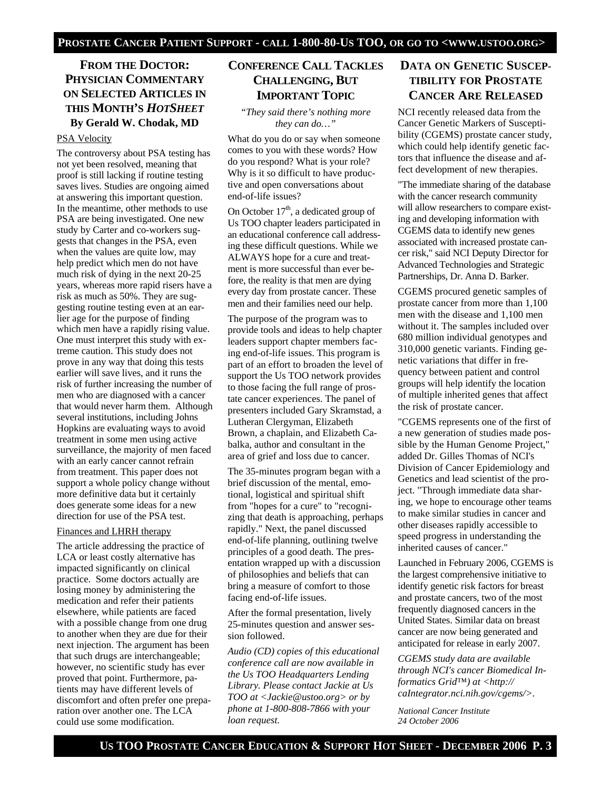### **FROM THE DOCTOR: PHYSICIAN COMMENTARY ON SELECTED ARTICLES IN THIS MONTH'S** *HOTSHEET* **By Gerald W. Chodak, MD**

#### PSA Velocity

The controversy about PSA testing has not yet been resolved, meaning that proof is still lacking if routine testing saves lives. Studies are ongoing aimed at answering this important question. In the meantime, other methods to use PSA are being investigated. One new study by Carter and co-workers suggests that changes in the PSA, even when the values are quite low, may help predict which men do not have much risk of dying in the next 20-25 years, whereas more rapid risers have a risk as much as 50%. They are suggesting routine testing even at an earlier age for the purpose of finding which men have a rapidly rising value. One must interpret this study with extreme caution. This study does not prove in any way that doing this tests earlier will save lives, and it runs the risk of further increasing the number of men who are diagnosed with a cancer that would never harm them. Although several institutions, including Johns Hopkins are evaluating ways to avoid treatment in some men using active surveillance, the majority of men faced with an early cancer cannot refrain from treatment. This paper does not support a whole policy change without more definitive data but it certainly does generate some ideas for a new direction for use of the PSA test.

#### Finances and LHRH therapy

The article addressing the practice of LCA or least costly alternative has impacted significantly on clinical practice. Some doctors actually are losing money by administering the medication and refer their patients elsewhere, while patients are faced with a possible change from one drug to another when they are due for their next injection. The argument has been that such drugs are interchangeable; however, no scientific study has ever proved that point. Furthermore, patients may have different levels of discomfort and often prefer one preparation over another one. The LCA could use some modification.

# **CONFERENCE CALL TACKLES CHALLENGING, BUT IMPORTANT TOPIC**

#### *"They said there's nothing more they can do…"*

What do you do or say when someone comes to you with these words? How do you respond? What is your role? Why is it so difficult to have productive and open conversations about end-of-life issues?

On October 17<sup>th</sup>, a dedicated group of Us TOO chapter leaders participated in an educational conference call addressing these difficult questions. While we ALWAYS hope for a cure and treatment is more successful than ever before, the reality is that men are dying every day from prostate cancer. These men and their families need our help.

The purpose of the program was to provide tools and ideas to help chapter leaders support chapter members facing end-of-life issues. This program is part of an effort to broaden the level of support the Us TOO network provides to those facing the full range of prostate cancer experiences. The panel of presenters included Gary Skramstad, a Lutheran Clergyman, Elizabeth Brown, a chaplain, and Elizabeth Cabalka, author and consultant in the area of grief and loss due to cancer.

The 35-minutes program began with a brief discussion of the mental, emotional, logistical and spiritual shift from "hopes for a cure" to "recognizing that death is approaching, perhaps rapidly." Next, the panel discussed end-of-life planning, outlining twelve principles of a good death. The presentation wrapped up with a discussion of philosophies and beliefs that can bring a measure of comfort to those facing end-of-life issues.

After the formal presentation, lively 25-minutes question and answer session followed.

*Audio (CD) copies of this educational conference call are now available in the Us TOO Headquarters Lending Library. Please contact Jackie at Us TOO at <Jackie@ustoo.org> or by phone at 1-800-808-7866 with your loan request.* 

# **DATA ON GENETIC SUSCEP-TIBILITY FOR PROSTATE CANCER ARE RELEASED**

NCI recently released data from the Cancer Genetic Markers of Susceptibility (CGEMS) prostate cancer study, which could help identify genetic factors that influence the disease and affect development of new therapies.

"The immediate sharing of the database with the cancer research community will allow researchers to compare existing and developing information with CGEMS data to identify new genes associated with increased prostate cancer risk," said NCI Deputy Director for Advanced Technologies and Strategic Partnerships, Dr. Anna D. Barker.

CGEMS procured genetic samples of prostate cancer from more than 1,100 men with the disease and 1,100 men without it. The samples included over 680 million individual genotypes and 310,000 genetic variants. Finding genetic variations that differ in frequency between patient and control groups will help identify the location of multiple inherited genes that affect the risk of prostate cancer.

"CGEMS represents one of the first of a new generation of studies made possible by the Human Genome Project," added Dr. Gilles Thomas of NCI's Division of Cancer Epidemiology and Genetics and lead scientist of the project. "Through immediate data sharing, we hope to encourage other teams to make similar studies in cancer and other diseases rapidly accessible to speed progress in understanding the inherited causes of cancer."

Launched in February 2006, CGEMS is the largest comprehensive initiative to identify genetic risk factors for breast and prostate cancers, two of the most frequently diagnosed cancers in the United States. Similar data on breast cancer are now being generated and anticipated for release in early 2007.

*CGEMS study data are available through NCI's cancer Biomedical Informatics Grid™) at <http:// caIntegrator.nci.nih.gov/cgems/>.* 

*National Cancer Institute 24 October 2006*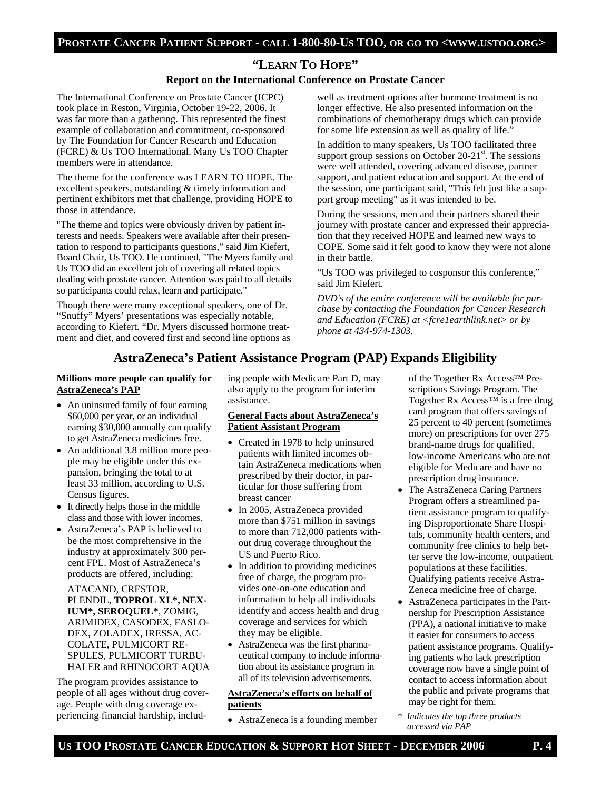# **"LEARN TO HOPE"**

### **Report on the International Conference on Prostate Cancer**

The International Conference on Prostate Cancer (ICPC) took place in Reston, Virginia, October 19-22, 2006. It was far more than a gathering. This represented the finest example of collaboration and commitment, co-sponsored by The Foundation for Cancer Research and Education (FCRE) & Us TOO International. Many Us TOO Chapter members were in attendance.

The theme for the conference was LEARN TO HOPE. The excellent speakers, outstanding & timely information and pertinent exhibitors met that challenge, providing HOPE to those in attendance.

"The theme and topics were obviously driven by patient interests and needs. Speakers were available after their presentation to respond to participants questions," said Jim Kiefert, Board Chair, Us TOO. He continued, "The Myers family and Us TOO did an excellent job of covering all related topics dealing with prostate cancer. Attention was paid to all details so participants could relax, learn and participate."

Though there were many exceptional speakers, one of Dr. "Snuffy" Myers' presentations was especially notable, according to Kiefert. "Dr. Myers discussed hormone treatment and diet, and covered first and second line options as well as treatment options after hormone treatment is no longer effective. He also presented information on the combinations of chemotherapy drugs which can provide for some life extension as well as quality of life."

In addition to many speakers, Us TOO facilitated three support group sessions on October  $20-21<sup>st</sup>$ . The sessions were well attended, covering advanced disease, partner support, and patient education and support. At the end of the session, one participant said, "This felt just like a support group meeting" as it was intended to be.

During the sessions, men and their partners shared their journey with prostate cancer and expressed their appreciation that they received HOPE and learned new ways to COPE. Some said it felt good to know they were not alone in their battle.

"Us TOO was privileged to cosponsor this conference," said Jim Kiefert.

*DVD's of the entire conference will be available for purchase by contacting the Foundation for Cancer Research and Education (FCRE) at <fcre1earthlink.net> or by phone at 434-974-1303.*

### **AstraZeneca's Patient Assistance Program (PAP) Expands Eligibility**

#### **Millions more people can qualify for AstraZeneca's PAP**

- An uninsured family of four earning \$60,000 per year, or an individual earning \$30,000 annually can qualify to get AstraZeneca medicines free.
- An additional 3.8 million more people may be eligible under this expansion, bringing the total to at least 33 million, according to U.S. Census figures.
- It directly helps those in the middle class and those with lower incomes.
- AstraZeneca's PAP is believed to be the most comprehensive in the industry at approximately 300 percent FPL. Most of AstraZeneca's products are offered, including:

ATACAND, CRESTOR, PLENDIL, **TOPROL XL\*, NEX-IUM\*, SEROQUEL\***, ZOMIG, ARIMIDEX, CASODEX, FASLO-DEX, ZOLADEX, IRESSA, AC-COLATE, PULMICORT RE-SPULES, PULMICORT TURBU-HALER and RHINOCORT AQUA

The program provides assistance to people of all ages without drug coverage. People with drug coverage experiencing financial hardship, including people with Medicare Part D, may also apply to the program for interim assistance.

#### **General Facts about AstraZeneca's Patient Assistant Program**

- Created in 1978 to help uninsured patients with limited incomes obtain AstraZeneca medications when prescribed by their doctor, in particular for those suffering from breast cancer
- In 2005, AstraZeneca provided more than \$751 million in savings to more than 712,000 patients without drug coverage throughout the US and Puerto Rico.
- In addition to providing medicines free of charge, the program provides one-on-one education and information to help all individuals identify and access health and drug coverage and services for which they may be eligible.
- AstraZeneca was the first pharmaceutical company to include information about its assistance program in all of its television advertisements.

#### **AstraZeneca's efforts on behalf of patients**

• AstraZeneca is a founding member

of the Together Rx Access™ Prescriptions Savings Program. The Together Rx Access™ is a free drug card program that offers savings of 25 percent to 40 percent (sometimes more) on prescriptions for over 275 brand-name drugs for qualified, low-income Americans who are not eligible for Medicare and have no prescription drug insurance.

- The AstraZeneca Caring Partners Program offers a streamlined patient assistance program to qualifying Disproportionate Share Hospitals, community health centers, and community free clinics to help better serve the low-income, outpatient populations at these facilities. Qualifying patients receive Astra-Zeneca medicine free of charge.
- AstraZeneca participates in the Partnership for Prescription Assistance (PPA), a national initiative to make it easier for consumers to access patient assistance programs. Qualifying patients who lack prescription coverage now have a single point of contact to access information about the public and private programs that may be right for them.
- \* *Indicates the top three products accessed via PAP*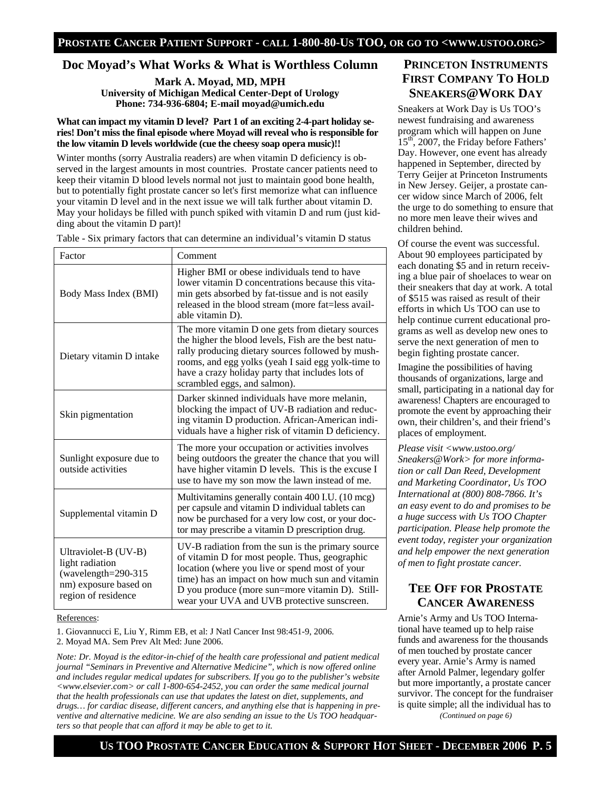### **Doc Moyad's What Works & What is Worthless Column**

**Mark A. Moyad, MD, MPH University of Michigan Medical Center-Dept of Urology Phone: 734-936-6804; E-mail moyad@umich.edu** 

#### **What can impact my vitamin D level? Part 1 of an exciting 2-4-part holiday series! Don't miss the final episode where Moyad will reveal who is responsible for the low vitamin D levels worldwide (cue the cheesy soap opera music)!!**

Winter months (sorry Australia readers) are when vitamin D deficiency is observed in the largest amounts in most countries. Prostate cancer patients need to keep their vitamin D blood levels normal not just to maintain good bone health, but to potentially fight prostate cancer so let's first memorize what can influence your vitamin D level and in the next issue we will talk further about vitamin D. May your holidays be filled with punch spiked with vitamin D and rum (just kidding about the vitamin D part)!

| Factor                                                                                                            | Comment                                                                                                                                                                                                                                                                                                    |
|-------------------------------------------------------------------------------------------------------------------|------------------------------------------------------------------------------------------------------------------------------------------------------------------------------------------------------------------------------------------------------------------------------------------------------------|
| Body Mass Index (BMI)                                                                                             | Higher BMI or obese individuals tend to have<br>lower vitamin D concentrations because this vita-<br>min gets absorbed by fat-tissue and is not easily<br>released in the blood stream (more fat=less avail-<br>able vitamin D).                                                                           |
| Dietary vitamin D intake                                                                                          | The more vitamin D one gets from dietary sources<br>the higher the blood levels, Fish are the best natu-<br>rally producing dietary sources followed by mush-<br>rooms, and egg yolks (yeah I said egg yolk-time to<br>have a crazy holiday party that includes lots of<br>scrambled eggs, and salmon).    |
| Skin pigmentation                                                                                                 | Darker skinned individuals have more melanin,<br>blocking the impact of UV-B radiation and reduc-<br>ing vitamin D production. African-American indi-<br>viduals have a higher risk of vitamin D deficiency.                                                                                               |
| Sunlight exposure due to<br>outside activities                                                                    | The more your occupation or activities involves<br>being outdoors the greater the chance that you will<br>have higher vitamin D levels. This is the excuse I<br>use to have my son mow the lawn instead of me.                                                                                             |
| Supplemental vitamin D                                                                                            | Multivitamins generally contain 400 I.U. (10 mcg)<br>per capsule and vitamin D individual tablets can<br>now be purchased for a very low cost, or your doc-<br>tor may prescribe a vitamin D prescription drug.                                                                                            |
| Ultraviolet-B (UV-B)<br>light radiation<br>(wavelength= $290-315$<br>nm) exposure based on<br>region of residence | UV-B radiation from the sun is the primary source<br>of vitamin D for most people. Thus, geographic<br>location (where you live or spend most of your<br>time) has an impact on how much sun and vitamin<br>D you produce (more sun=more vitamin D). Still-<br>wear your UVA and UVB protective sunscreen. |

Table - Six primary factors that can determine an individual's vitamin D status

#### References:

1. Giovannucci E, Liu Y, Rimm EB, et al: J Natl Cancer Inst 98:451-9, 2006. 2. Moyad MA. Sem Prev Alt Med: June 2006.

*Note: Dr. Moyad is the editor-in-chief of the health care professional and patient medical journal "Seminars in Preventive and Alternative Medicine", which is now offered online and includes regular medical updates for subscribers. If you go to the publisher's website <www.elsevier.com> or call 1-800-654-2452, you can order the same medical journal that the health professionals can use that updates the latest on diet, supplements, and drugs… for cardiac disease, different cancers, and anything else that is happening in preventive and alternative medicine. We are also sending an issue to the Us TOO headquarters so that people that can afford it may be able to get to it.* 

### **PRINCETON INSTRUMENTS FIRST COMPANY TO HOLD SNEAKERS@WORK DAY**

Sneakers at Work Day is Us TOO's newest fundraising and awareness program which will happen on June 15<sup>th</sup>, 2007, the Friday before Fathers' Day. However, one event has already happened in September, directed by Terry Geijer at Princeton Instruments in New Jersey. Geijer, a prostate cancer widow since March of 2006, felt the urge to do something to ensure that no more men leave their wives and children behind.

Of course the event was successful. About 90 employees participated by each donating \$5 and in return receiving a blue pair of shoelaces to wear on their sneakers that day at work. A total of \$515 was raised as result of their efforts in which Us TOO can use to help continue current educational programs as well as develop new ones to serve the next generation of men to begin fighting prostate cancer.

Imagine the possibilities of having thousands of organizations, large and small, participating in a national day for awareness! Chapters are encouraged to promote the event by approaching their own, their children's, and their friend's places of employment.

*Please visit <www.ustoo.org/ Sneakers@Work> for more information or call Dan Reed, Development and Marketing Coordinator, Us TOO International at (800) 808-7866. It's an easy event to do and promises to be a huge success with Us TOO Chapter participation. Please help promote the event today, register your organization and help empower the next generation of men to fight prostate cancer.* 

### **TEE OFF FOR PROSTATE CANCER AWARENESS**

Arnie's Army and Us TOO International have teamed up to help raise funds and awareness for the thousands of men touched by prostate cancer every year. Arnie's Army is named after Arnold Palmer, legendary golfer but more importantly, a prostate cancer survivor. The concept for the fundraiser is quite simple; all the individual has to

*(Continued on page 6)*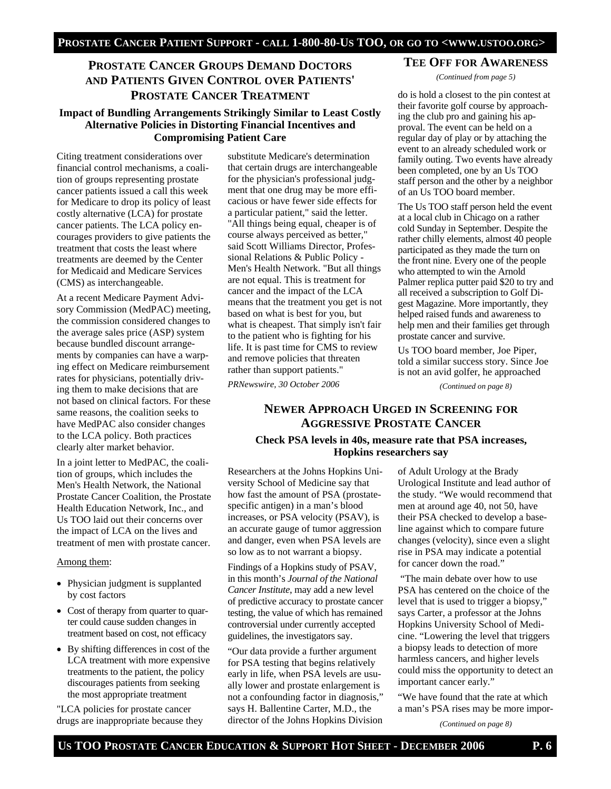## **PROSTATE CANCER GROUPS DEMAND DOCTORS AND PATIENTS GIVEN CONTROL OVER PATIENTS' PROSTATE CANCER TREATMENT**

### **Impact of Bundling Arrangements Strikingly Similar to Least Costly Alternative Policies in Distorting Financial Incentives and Compromising Patient Care**

Citing treatment considerations over financial control mechanisms, a coalition of groups representing prostate cancer patients issued a call this week for Medicare to drop its policy of least costly alternative (LCA) for prostate cancer patients. The LCA policy encourages providers to give patients the treatment that costs the least where treatments are deemed by the Center for Medicaid and Medicare Services (CMS) as interchangeable.

At a recent Medicare Payment Advisory Commission (MedPAC) meeting, the commission considered changes to the average sales price (ASP) system because bundled discount arrangements by companies can have a warping effect on Medicare reimbursement rates for physicians, potentially driving them to make decisions that are not based on clinical factors. For these same reasons, the coalition seeks to have MedPAC also consider changes to the LCA policy. Both practices clearly alter market behavior.

In a joint letter to MedPAC, the coalition of groups, which includes the Men's Health Network, the National Prostate Cancer Coalition, the Prostate Health Education Network, Inc., and Us TOO laid out their concerns over the impact of LCA on the lives and treatment of men with prostate cancer.

#### Among them:

- Physician judgment is supplanted by cost factors
- Cost of therapy from quarter to quarter could cause sudden changes in treatment based on cost, not efficacy
- By shifting differences in cost of the LCA treatment with more expensive treatments to the patient, the policy discourages patients from seeking the most appropriate treatment

"LCA policies for prostate cancer drugs are inappropriate because they

substitute Medicare's determination that certain drugs are interchangeable for the physician's professional judgment that one drug may be more efficacious or have fewer side effects for a particular patient," said the letter. "All things being equal, cheaper is of course always perceived as better," said Scott Williams Director, Professional Relations & Public Policy - Men's Health Network. "But all things are not equal. This is treatment for cancer and the impact of the LCA means that the treatment you get is not based on what is best for you, but what is cheapest. That simply isn't fair to the patient who is fighting for his life. It is past time for CMS to review and remove policies that threaten rather than support patients."

*PRNewswire, 30 October 2006* 

# **TEE OFF FOR AWARENESS**

*(Continued from page 5)* 

do is hold a closest to the pin contest at their favorite golf course by approaching the club pro and gaining his approval. The event can be held on a regular day of play or by attaching the event to an already scheduled work or family outing. Two events have already been completed, one by an Us TOO staff person and the other by a neighbor of an Us TOO board member.

The Us TOO staff person held the event at a local club in Chicago on a rather cold Sunday in September. Despite the rather chilly elements, almost 40 people participated as they made the turn on the front nine. Every one of the people who attempted to win the Arnold Palmer replica putter paid \$20 to try and all received a subscription to Golf Digest Magazine. More importantly, they helped raised funds and awareness to help men and their families get through prostate cancer and survive.

Us TOO board member, Joe Piper, told a similar success story. Since Joe is not an avid golfer, he approached

*(Continued on page 8)* 

### **NEWER APPROACH URGED IN SCREENING FOR AGGRESSIVE PROSTATE CANCER**

### **Check PSA levels in 40s, measure rate that PSA increases, Hopkins researchers say**

Researchers at the Johns Hopkins University School of Medicine say that how fast the amount of PSA (prostatespecific antigen) in a man's blood increases, or PSA velocity (PSAV), is an accurate gauge of tumor aggression and danger, even when PSA levels are so low as to not warrant a biopsy.

Findings of a Hopkins study of PSAV, in this month's *Journal of the National Cancer Institute*, may add a new level of predictive accuracy to prostate cancer testing, the value of which has remained controversial under currently accepted guidelines, the investigators say.

"Our data provide a further argument for PSA testing that begins relatively early in life, when PSA levels are usually lower and prostate enlargement is not a confounding factor in diagnosis," says H. Ballentine Carter, M.D., the director of the Johns Hopkins Division

of Adult Urology at the Brady Urological Institute and lead author of the study. "We would recommend that men at around age 40, not 50, have their PSA checked to develop a baseline against which to compare future changes (velocity), since even a slight rise in PSA may indicate a potential for cancer down the road."

 "The main debate over how to use PSA has centered on the choice of the level that is used to trigger a biopsy," says Carter, a professor at the Johns Hopkins University School of Medicine. "Lowering the level that triggers a biopsy leads to detection of more harmless cancers, and higher levels could miss the opportunity to detect an important cancer early."

"We have found that the rate at which a man's PSA rises may be more impor-

*(Continued on page 8)*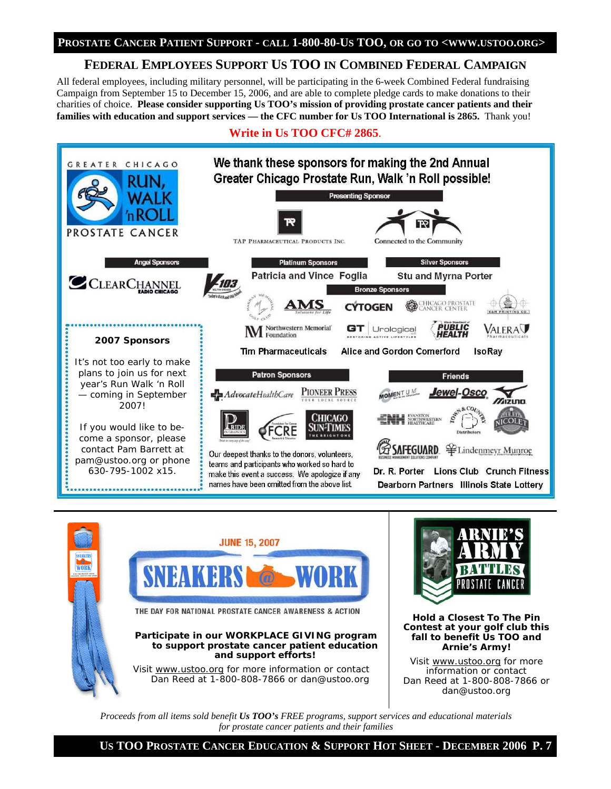# **FEDERAL EMPLOYEES SUPPORT US TOO IN COMBINED FEDERAL CAMPAIGN**

All federal employees, including military personnel, will be participating in the 6-week Combined Federal fundraising Campaign from September 15 to December 15, 2006, and are able to complete pledge cards to make donations to their charities of choice. **Please consider supporting Us TOO's mission of providing prostate cancer patients and their families with education and support services — the CFC number for Us TOO International is 2865.** Thank you!

## **Write in Us TOO CFC# 2865**.







**Hold a Closest To The Pin Contest at your golf club this fall to benefit Us TOO and Arnie's Army!** 

Visit www.ustoo.org for more information or contact Dan Reed at 1-800-808-7866 or dan@ustoo.org

*Proceeds from all items sold benefit Us TOO's FREE programs, support services and educational materials for prostate cancer patients and their families*